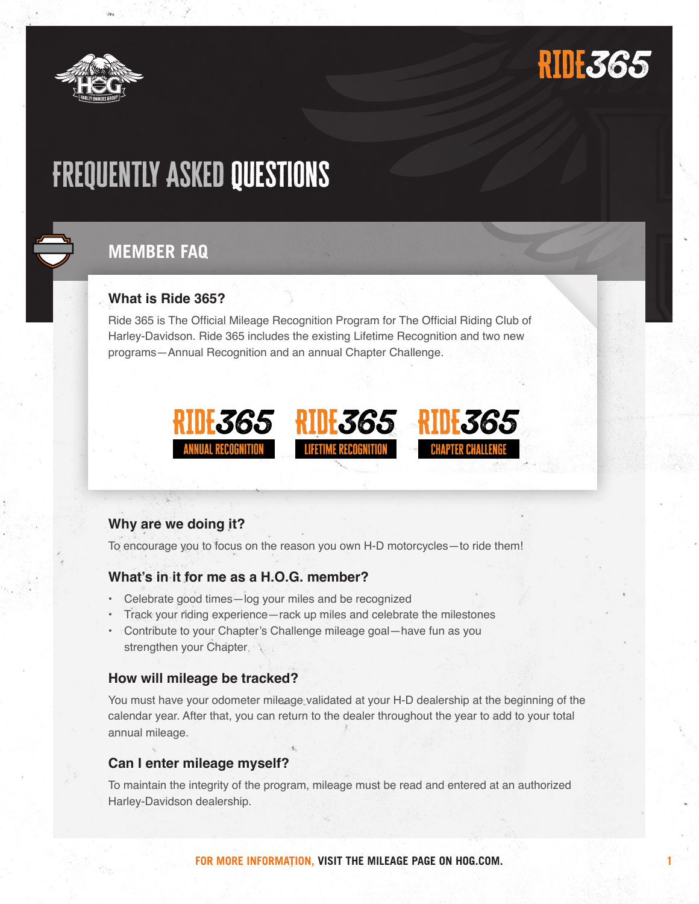

# **RIDE365**

**1**

# Frequently Asked Questions

### **MEMBER FAQ**

#### **What is Ride 365?**

Ride 365 is The Official Mileage Recognition Program for The Official Riding Club of Harley-Davidson. Ride 365 includes the existing Lifetime Recognition and two new programs—Annual Recognition and an annual Chapter Challenge.



#### **Why are we doing it?**

To encourage you to focus on the reason you own H-D motorcycles—to ride them!

#### **What's in it for me as a H.O.G. member?**

- Celebrate good times—log your miles and be recognized
- Track your riding experience—rack up miles and celebrate the milestones
- Contribute to your Chapter's Challenge mileage goal—have fun as you strengthen your Chapter

#### **How will mileage be tracked?**

You must have your odometer mileage validated at your H-D dealership at the beginning of the calendar year. After that, you can return to the dealer throughout the year to add to your total annual mileage.

#### **Can I enter mileage myself?**

To maintain the integrity of the program, mileage must be read and entered at an authorized Harley-Davidson dealership.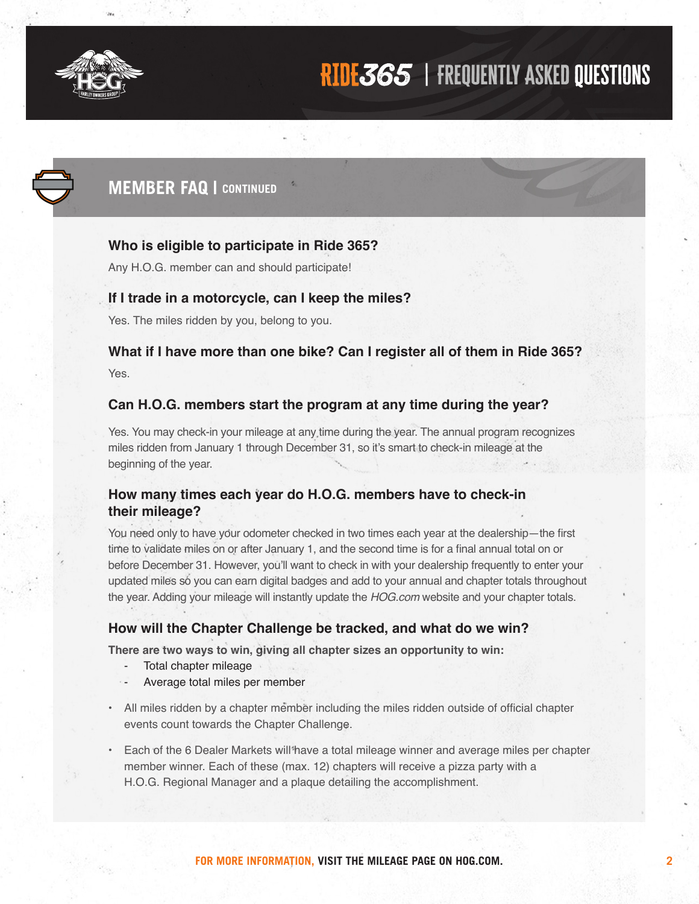

### RIDE365 | FREQUENTLY ASKED QUESTIONS



### **MEMBER FAQ | CONTINUED**

#### **Who is eligible to participate in Ride 365?**

Any H.O.G. member can and should participate!

#### **If I trade in a motorcycle, can I keep the miles?**

Yes. The miles ridden by you, belong to you.

#### **What if I have more than one bike? Can I register all of them in Ride 365?** Yes.

#### **Can H.O.G. members start the program at any time during the year?**

Yes. You may check-in your mileage at any time during the year. The annual program recognizes miles ridden from January 1 through December 31, so it's smart to check-in mileage at the beginning of the year.

#### **How many times each year do H.O.G. members have to check-in their mileage?**

You need only to have your odometer checked in two times each year at the dealership—the first time to validate miles on or after January 1, and the second time is for a final annual total on or before December 31. However, you'll want to check in with your dealership frequently to enter your updated miles so you can earn digital badges and add to your annual and chapter totals throughout the year. Adding your mileage will instantly update the *HOG.com* website and your chapter totals.

#### **How will the Chapter Challenge be tracked, and what do we win?**

**There are two ways to win, giving all chapter sizes an opportunity to win:**

- Total chapter mileage
- Average total miles per member
- All miles ridden by a chapter member including the miles ridden outside of official chapter events count towards the Chapter Challenge.
- Each of the 6 Dealer Markets will have a total mileage winner and average miles per chapter member winner. Each of these (max. 12) chapters will receive a pizza party with a H.O.G. Regional Manager and a plaque detailing the accomplishment.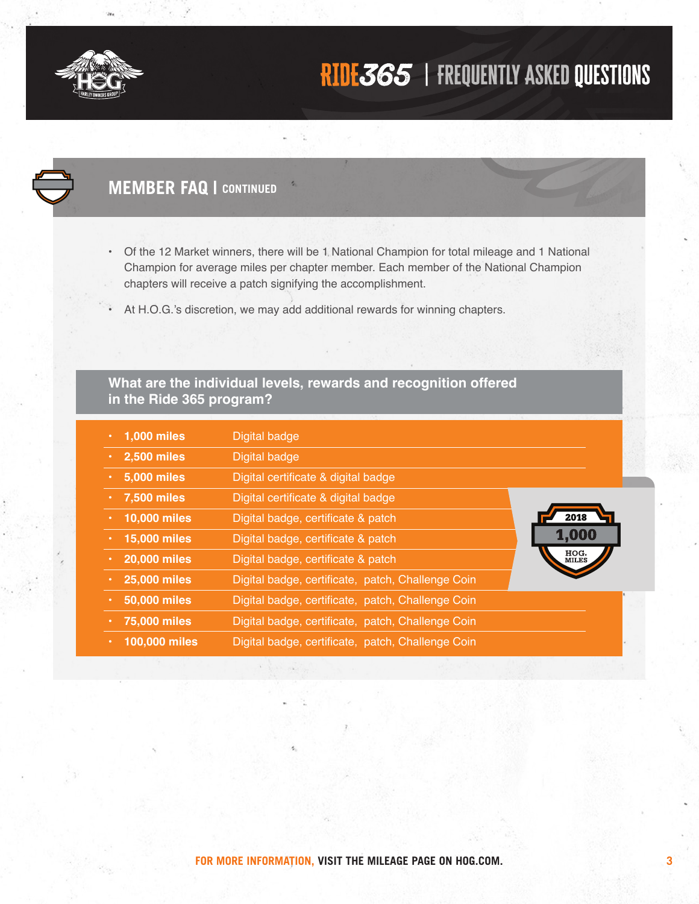

## RIDE365 | FREQUENTLY ASKED QUESTIONS

### **MEMBER FAQ | CONTINUED**

- Of the 12 Market winners, there will be 1 National Champion for total mileage and 1 National Champion for average miles per chapter member. Each member of the National Champion chapters will receive a patch signifying the accomplishment.
- At H.O.G.'s discretion, we may add additional rewards for winning chapters.

#### **What are the individual levels, rewards and recognition offered in the Ride 365 program?**

| 1,000 miles         | Digital badge                                     |                           |
|---------------------|---------------------------------------------------|---------------------------|
| 2,500 miles         | Digital badge                                     |                           |
| 5,000 miles         | Digital certificate & digital badge               |                           |
| 7,500 miles         | Digital certificate & digital badge               |                           |
| 10,000 miles        | Digital badge, certificate & patch                | 2018                      |
| 15,000 miles        | Digital badge, certificate & patch                | 1,000                     |
| 20,000 miles<br>٠   | Digital badge, certificate & patch                | HOG <sub>®</sub><br>MILES |
| <b>25,000 miles</b> | Digital badge, certificate, patch, Challenge Coin |                           |
| 50,000 miles        | Digital badge, certificate, patch, Challenge Coin |                           |
| 75,000 miles        | Digital badge, certificate, patch, Challenge Coin |                           |
| 100,000 miles       | Digital badge, certificate, patch, Challenge Coin |                           |